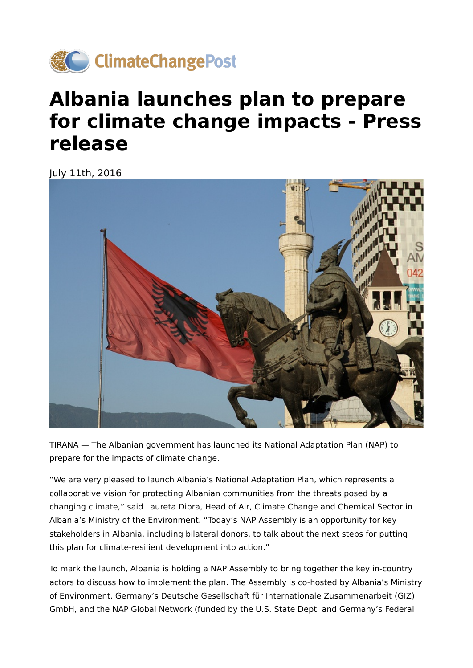

## **Albania launches plan to prepare for climate change impacts - Press release**

July 11th, 2016



TIRANA — The Albanian government has launched its National Adaptation Plan (NAP) to prepare for the impacts of climate change.

"We are very pleased to launch Albania's National Adaptation Plan, which represents a collaborative vision for protecting Albanian communities from the threats posed by a changing climate," said Laureta Dibra, Head of Air, Climate Change and Chemical Sector in Albania's Ministry of the Environment. "Today's NAP Assembly is an opportunity for key stakeholders in Albania, including bilateral donors, to talk about the next steps for putting this plan for climate-resilient development into action."

To mark the launch, Albania is holding a NAP Assembly to bring together the key in-country actors to discuss how to implement the plan. The Assembly is co-hosted by Albania's Ministry of Environment, Germany's Deutsche Gesellschaft für Internationale Zusammenarbeit (GIZ) GmbH, and the NAP Global Network (funded by the U.S. State Dept. and Germany's Federal